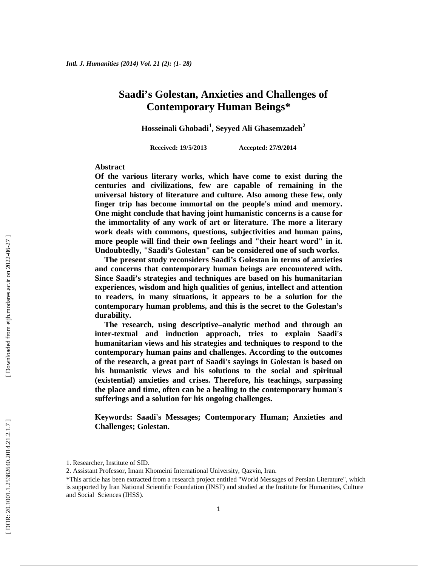## **Saadi's Golestan, Anxieties and Challenges of Contemporary Human Beings\***

**Hosseinali Ghobadi<sup>1</sup> , Seyyed Ali Ghasemzadeh<sup>2</sup>**

**Received: 19/5/2013 Accepted: 27/9/2014**

### **Abstract**

**Of the various literary works, which have come to exist during the centuries and civilizations, few are capable of remaining in the universal history of literature and culture. Also among these few, only finger trip has become immortal on the people's mind and memory. One might conclude that having joint humanistic concerns is a cause for the immortality of any work of art or literature. The more a literary work deals with commons, questions, subjectivities and human pains, more people will find their own feelings and "their heart word" in it. Undoubtedly, "Saadi's Golestan" can be considered one of such works.**

**The present study reconsiders Saadi's Golestan in terms of anxieties and concerns that contemporary human beings are encountered with. Since Saadi's strategies and techniques are based on his humanitarian experiences, wisdom and high qualities of genius, intellect and attention to readers, in many situations, it appears to be a solution for the contemporary human problems, and this is the secret to the Golestan's durability.**

**The research, using descriptive–analytic method and through an inter-textual and induction approach, tries to explain Saadi's humanitarian views and his strategies and techniques to respond to the contemporary human pains and challenges. According to the outcomes of the research, a great part of Saadi's sayings in Golestan is based on his humanistic views and his solutions to the social and spiritual (existential) anxieties and crises. Therefore, his teachings, surpassing the place and time, often can be a healing to the contemporary human's sufferings and a solution for his ongoing challenges.**

**Keywords: Saadi's Messages; Contemporary Human; Anxieties and Challenges; Golestan.**

<sup>1.</sup> Researcher, Institute of SID.

<sup>2.</sup> Assistant Professor, Imam Khomeini International University, Qazvin, Iran.

<sup>\*</sup>This article has been extracted from a research project entitled "World Messages of Persian Literature", which is supported by Iran National Scientific Foundation (INSF) and studied at the Institute for Humanities, Culture and Social Sciences (IHSS).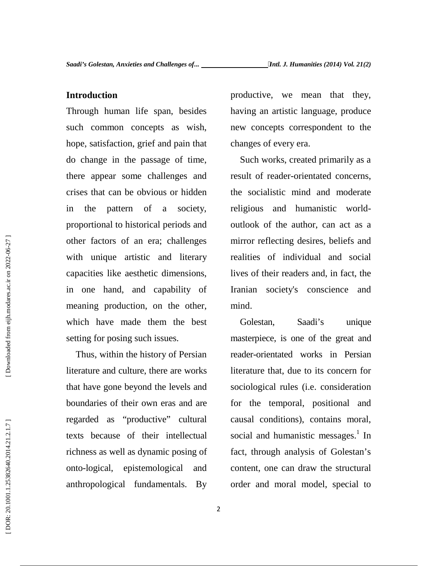### **Introduction**

Through human life span, besides such common concepts as wish, hope, satisfaction, grief and pain that do change in the passage of time, there appear some challenges and crises that can be obvious or hidden in the pattern of a society, proportional to historical periods and other factors of an era; challenges with unique artistic and literary capacities like aesthetic dimensions, in one hand, and capability of meaning production, on the other, which have made them the best setting for posing such issues.

Thus, within the history of Persian literature and culture, there are works that have gone beyond the levels and boundaries of their own eras and are regarded as "productive" cultural texts because of their intellectual richness as well as dynamic posing of onto -logical, epistemological and anthropological fundamentals. By

productive, we mean that they, having an artistic language, produce new concepts correspondent to the changes of every era.

Such works, created primarily as a result of reader-orientated concerns, the socialistic mind and moderate religious and humanistic world outlook of the author, can act as a mirror reflecting desires, beliefs and realities of individual and social lives of their readers and, in fact, the Iranian society's conscience and mind.

Golestan, Saadi's unique masterpiece, is one of the great and reader-orientated works in Persian literature that, due to its concern for sociological rules (i.e. consideration for the temporal, positional and causal conditions), contains moral, social and humanistic messages. $<sup>1</sup>$  In</sup> fact, through analysis of Golestan's content, one can draw the structural order and moral model, special to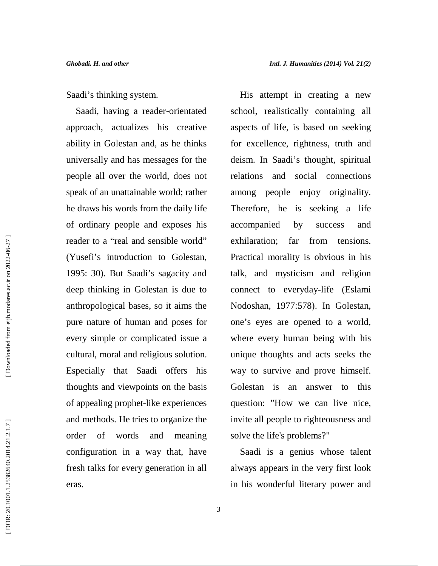Saadi's thinking system.

Saadi, having a reader-orientated approach, actualizes his creative ability in Golestan and, as he thinks universally and has messages for the people all over the world, does not speak of an unattainable world; rather he draws his words from the daily life of ordinary people and exposes his reader to a "real and sensible world" exhilaration: (Yusefi's introduction to Golestan, 1995: 30). But Saadi's sagacity and deep thinking in Golestan is due to anthropological bases, so it aims the pure nature of human and poses for every simple or complicated issue a cultural, moral and religious solution. Especially that Saadi offers his thoughts and viewpoints on the basis of appealing prophet-like experiences and methods. He tries to organize the order of words and meaning configuration in a way that, have fresh talks for every generation in all eras.

His attempt in creating a new school, realistically containing all aspects of life, is based on seeking for excellence, rightness, truth and deism. In Saadi's thought, spiritual relations and social connections among people enjoy originality. Therefore, he is seeking a life accompanied by success and far from tensions. Practical morality is obvious in his talk, and mysticism and religion connect to everyday-life (Eslami Nodoshan, 1977:578). In Golestan, one's eyes are opened to a world, where every human being with his unique thoughts and acts seeks the way to survive and prove himself. Golestan is an answer to this question: "How we can live nice, invite all people to righteousness and solve the life's problems?"

Saadi is a genius whose talent always appears in the very first look in his wonderful literary power and

3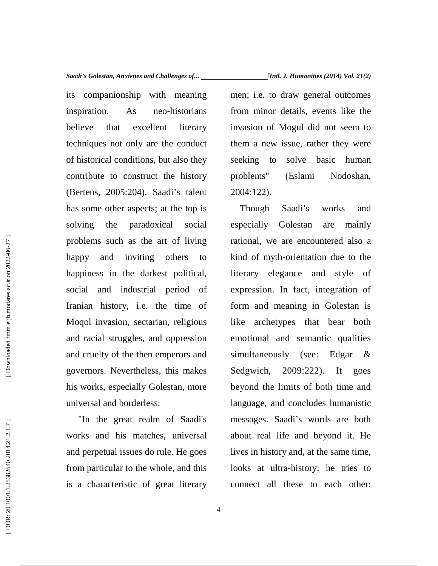its companionship with meaning inspiration. As neo-historians believe that excellent literary techniques not only are the conduct of historical conditions, but also they contribute to construct the history (Bertens, 2005:204). Saadi's talent has some other aspects; at the top is solving the paradoxical social problems such as the art of living happy and inviting others to happiness in the darkest political, social and industrial period of Iranian history, i.e. the time of Moqol invasion, sectarian, religious and racial struggles, and oppression and cruelty of the then emperors and governors. Nevertheless, this makes his works, especially Golestan, more universal and borderless:

"In the great realm of Saadi's works and his matches, universal and perpetual issues do rule. He goes from particular to the whole, and this is a characteristic of great literary men; i.e. to draw general outcomes from minor details, events like the invasion of Mogul did not seem to them a new issue, rather they were to solve basic human problems" (Eslami Nodoshan, 2004:122).

Though Saadi's works and especially Golestan are mainly rational, we are encountered also a kind of myth-orientation due to the literary elegance and style of expression. In fact, integration of form and meaning in Golestan is archetypes that bear both emotional and semantic qualities simultaneously (see: Edgar &  $2009:222$ ). It goes beyond the limits of both time and language, and concludes humanistic messages. Saadi's words are both about real life and beyond it. He lives in history and, at the same time, looks at ultra-history; he tries to connect all these to each other: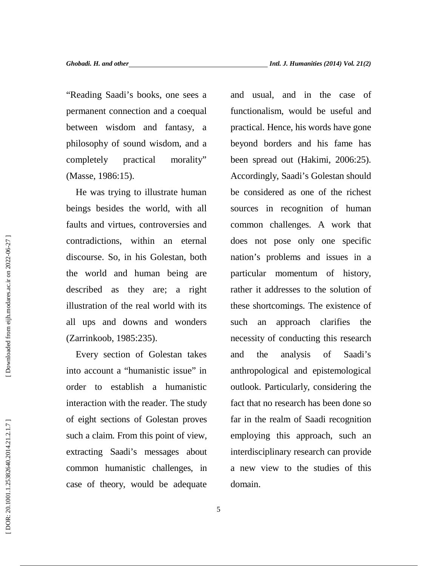"Reading Saadi's books, one sees a permanent connection and a coequal between wisdom and fantasy, a philosophy of sound wisdom, and a completely practical morality" (Masse, 1986:15).

He was trying to illustrate human beings besides the world, with all faults and virtues, controversies and contradictions, within an eternal discourse. So, in his Golestan, both the world and human being are described as they are; a right illustration of the real world with its all ups and downs and wonders (Zarrinkoob, 1985:235).

Every section of Golestan takes into account a "humanistic issue" in order to establish a humanistic interaction with the reader. The study of eight sections of Golestan proves such a claim. From this point of view, extracting Saadi's messages about common humanistic challenges, in case of theory, would be adequate

and usual, and in the case of functionalism, would be useful and practical. Hence, his words have gone beyond borders and his fame has been spread out (Hakimi, 2006:25). Accordingly, Saadi's Golestan should be considered as one of the richest sources in recognition of human common challenges. A work that does not pose only one specific nation's problems and issues in a particular momentum of history, rather it addresses to the solution of these shortcomings. The existence of an approach clarifies the necessity of conducting this research and the analysis of Saadi's anthropological and epistemological outlook. Particularly, considering the fact that no research has been done so far in the realm of Saadi recognition employing this approach, such an interdisciplinary research can provide a new view to the studies of this domain.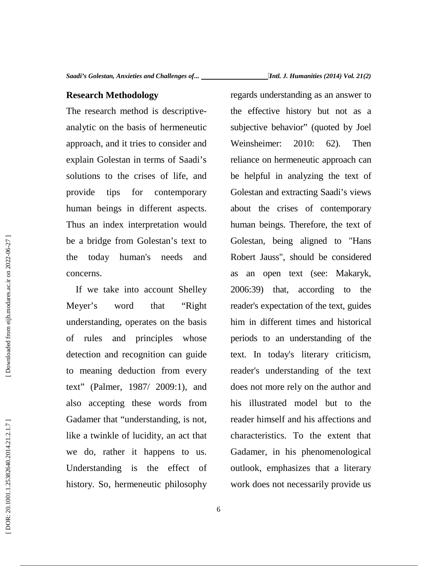### **Research Methodology**

The research method is descriptive analytic on the basis of hermeneutic approach, and it tries to consider and explain Golestan in terms of Saadi's solutions to the crises of life, and provide tips for contemporary human beings in different aspects. Thus an index interpretation would be a bridge from Golestan's text to the today human's needs and concerns.

If we take into account Shelley Meyer's word that "Right understanding, operates on the basis of rules and principles whose detection and recognition can guide to meaning deduction from every text" (Palmer, 1987/ 2009:1), and also accepting these words from Gadamer that "understanding, is not, like a twinkle of lucidity, an act that we do, rather it happens to us. Understanding is the effect of history. So, hermeneutic philosophy

regards understanding as an answer to the effective history but not as a subjective behavior" (quoted by Joel Weinsheimer: 2010: 62). Then reliance on hermeneutic approach can be helpful in analyzing the text of Golestan and extracting Saadi's views about the crises of contemporary human beings. Therefore, the text of Golestan, being aligned to "Hans Robert Jauss", should be considered as an open text (see: Makaryk, 2006:39) that, according to the reader's expectation of the text, guides him in different times and historical periods to an understanding of the text. In today's literary criticism, reader's understanding of the text does not more rely on the author and his illustrated model but to the reader himself and his affections and characteristics. To the extent that Gadamer, in his phenomenological outlook, emphasizes that a literary work does not necessarily provide us

DOR: 20.1001.1.25382640.2014.21.2.1.7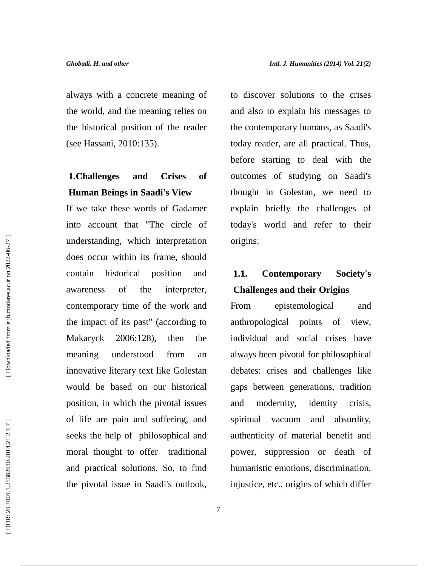always with a concrete meaning of the world, and the meaning relies on the historical position of the reader (see Hassani, 2010:135).

# **1.Challenges and Crises of Human Beings in Saadi's View**

If we take these words of Gadamer into account that "The circle of understanding, which interpretation does occur within its frame, should contain historical position and awareness of the interpreter, contemporary time of the work and the impact of its past" (according to Makaryck 2006:128), then the meaning understood from an innovative literary text like Golestan would be based on our historical position, in which the pivotal issues of life are pain and suffering, and seeks the help of philosophical and moral thought to offer traditional and practical solutions. So, to find the pivotal issue in Saadi's outlook,

to discover solutions to the crises and also to explain his messages to the contemporary humans, as Saadi's today reader, are all practical. Thus, before starting to deal with the outcomes of studying on Saadi's thought in Golestan, we need to explain briefly the challenges of today's world and refer to their origins:

# **1.1. Contemporary Society's Challenges and their Origins**

epistemological and anthropological points of view, individual and social crises have always been pivotal for philosophical debates: crises and challenges like gaps between generations, tradition modernity, identity crisis, vacuum and absurdity, authenticity of material benefit and power, suppression or death of humanistic emotions, discrimination, injustice, etc., origins of which differ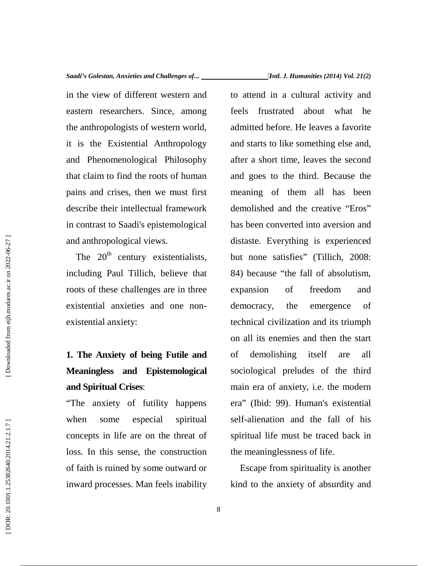in the view of different western and eastern researchers. Since, among the anthropologists of western world, it is the Existential Anthropology and Phenomenological Philosophy that claim to find the roots of human pains and crises, then we must first describe their intellectual framework in contrast to Saadi's epistemological and anthropological views.

The  $20<sup>th</sup>$  century existentialists, including Paul Tillich, believe that roots of these challenges are in three existential anxieties and one non existential anxiety:

# **1. The Anxiety of being Futile and Meaningless and Epistemological and Spiritual Crises**:

"The anxiety of futility happens when some especial spiritual concepts in life are on the threat of loss. In this sense, the construction of faith is ruined by some outward or inward processes. Man feels inability to attend in a cultural activity and frustrated about what he admitted before. He leaves a favorite and starts to like something else and, after a short time, leaves the second and goes to the third. Because the meaning of them all has been demolished and the creative "Eros" has been converted into aversion and distaste. Everything is experienced but none satisfies" (Tillich, 2008: 84) because "the fall of absolutism, expansion of freedom and democracy, the emergence of technical civilization and its triumph on all its enemies and then the start demolishing itself are all sociological preludes of the third main era of anxiety, i.e. the modern era" (Ibid: 99). Human's existential self-alienation and the fall of his spiritual life must be traced back in the meaninglessness of life.

Escape from spirituality is another kind to the anxiety of absurdity and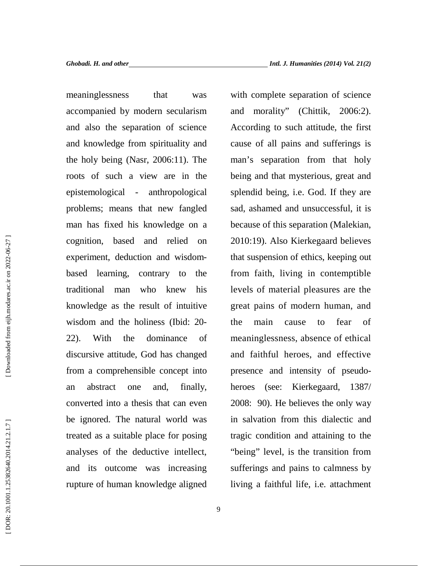meaninglessness that was accompanied by modern secularism and also the separation of science and knowledge from spirituality and the holy being (Nasr, 2006:11). The roots of such a view are in the epistemological - anthropological problems; means that new fangled man has fixed his knowledge on a cognition, based and relied on experiment, deduction and wisdom based learning, contrary to the traditional man who knew his knowledge as the result of intuitive wisdom and the holiness (Ibid: 20- 22). With the dominance of discursive attitude, God has changed from a comprehensible concept into an abstract one and, finally, converted into a thesis that can even be ignored. The natural world was treated as a suitable place for posing analyses of the deductive intellect, and its outcome was increasing rupture of human knowledge aligned

with complete separation of science and morality" (Chittik, 2006:2). According to such attitude, the first cause of all pains and sufferings is man's separation from that holy being and that mysterious, great and splendid being, i.e. God. If they are sad, ashamed and unsuccessful, it is because of this separation (Malekian, 2010:19). Also Kierkegaard believes that suspension of ethics, keeping out from faith, living in contemptible levels of material pleasures are the great pains of modern human, and the main cause to fear of meaninglessness, absence of ethical and faithful heroes, and effective presence and intensity of pseudo heroes (see: Kierkegaard, 1387/ 2008: 90). He believes the only way in salvation from this dialectic and tragic condition and attaining to the "being" level, is the transition from sufferings and pains to calmness by living a faithful life, i.e. attachment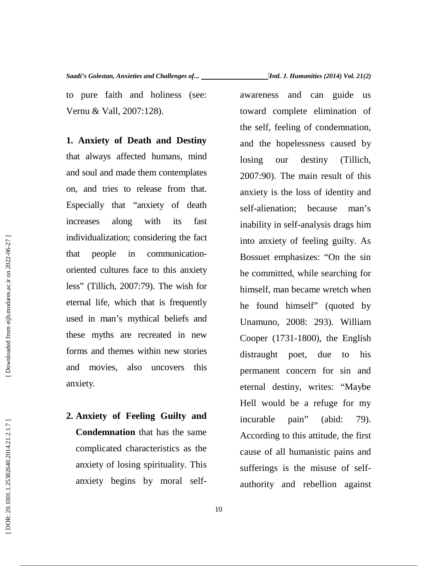to pure faith and holiness (see: Vernu & Vall, 2007:128).

**1. Anxiety of Death and Destiny** that always affected humans, mind and soul and made them contemplates on, and tries to release from that. Especially that "anxiety of death increases along with its fast individualization; considering the fact that people in communication oriented cultures face to this anxiety less" (Tillich, 2007:79). The wish for eternal life, which that is frequently used in man's mythical beliefs and these myths are recreated in new forms and themes within new stories and movies, also uncovers this anxiety.

**2. Anxiety of Feeling Guilty and Condemnation** that has the same complicated characteristics as the anxiety of losing spirituality. This anxiety begins by moral selfawareness and can guide us toward complete elimination of the self, feeling of condemnation, and the hopelessness caused by our destiny (Tillich, 2007:90). The main result of this anxiety is the loss of identity and self-alienation; because man's inability in self-analysis drags him into anxiety of feeling guilty. As Bossuet emphasizes: "On the sin he committed, while searching for himself, man became wretch when he found himself" (quoted by Unamuno, 2008: 293). William Cooper (1731-1800), the English distraught poet, due to his permanent concern for sin and eternal destiny, writes: "Maybe Hell would be a refuge for my incurable pain" (abid: 79). According to this attitude, the first cause of all humanistic pains and sufferings is the misuse of self authority and rebellion against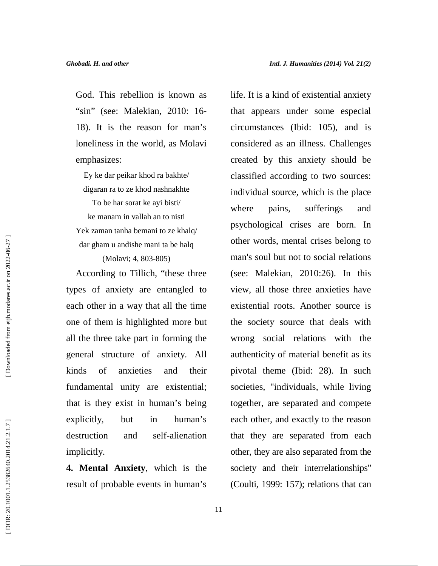God. This rebellion is known as "sin" (see: Malekian, 2010: 16- 18). It is the reason for man's loneliness in the world, as Molavi emphasizes:

Ey ke dar peikar khod ra bakhte/ digaran ra to ze khod nashnakhte

To be har sorat ke ayi bisti/ ke manam in vallah an to nisti Yek zaman tanha bemani to ze khalq/ dar gham u andishe mani ta be halq (Molavi; 4, 803-805)

According to Tillich, "these three types of anxiety are entangled to each other in a way that all the time one of them is highlighted more but all the three take part in forming the general structure of anxiety. All kinds of anxieties and their fundamental unity are existential; that is they exist in human's being explicitly, but in human's destruction and self-alienation implicitly.

**4. Mental Anxiety**, which is the result of probable events in human's life. It is a kind of existential anxiety that appears under some especial circumstances (Ibid: 105), and is considered as an illness. Challenges created by this anxiety should be classified according to two sources: individual source, which is the place where pains, sufferings and psychological crises are born. In other words, mental crises belong to man's soul but not to social relations (see: Malekian, 2010:26). In this view, all those three anxieties have existential roots. Another source is the society source that deals with wrong social relations with the authenticity of material benefit as its pivotal theme (Ibid: 28). In such societies, "individuals, while living together, are separated and compete each other, and exactly to the reason that they are separated from each other, they are also separated from the society and their interrelationships" (Coulti, 1999: 157); relations that can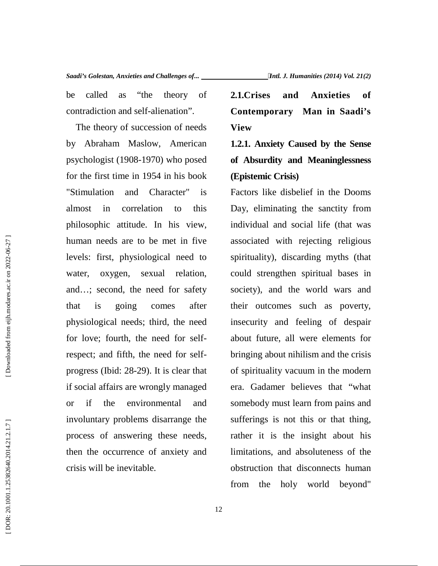be called as "the theory of 2.1.Crises" contradiction and self-alienation".

The theory of succession of needs by Abraham Maslow, American psychologist (1908-1970) who posed for the first time in 1954 in his book "Stimulation and Character" is almost in correlation to this philosophic attitude. In his view, human needs are to be met in five levels: first, physiological need to water, oxygen, sexual relation, and…; second, the need for safety that is going comes after physiological needs; third, the need for love; fourth, the need for selfrespect; and fifth, the need for self progress (Ibid: 28-29). It is clear that if social affairs are wrongly managed or if the environmental and involuntary problems disarrange the process of answering these needs, then the occurrence of anxiety and be called as "the theory of **2.1.Crises and Anxieties of**<br>
contradiction and self-alienation".<br>
The theory of succession of needs<br>
Year, Contemporary Man in Snadi's<br>
Dy Abraham Maslow, American<br> **1.2.1.** Anxiety Caused by

**Contemporary Man in Saadi's View**

**1.2.1. Anxiety Caused by the Sense of Absurdity and Meaninglessness (Epistemic Crisis)**

Factors like disbelief in the Dooms Day, eliminating the sanctity from individual and social life (that was associated with rejecting religious spirituality), discarding myths (that could strengthen spiritual bases in society), and the world wars and their outcomes such as poverty, insecurity and feeling of despair about future, all were elements for bringing about nihilism and the crisis of spirituality vacuum in the modern era. Gadamer believes that "what somebody must learn from pains and sufferings is not this or that thing, rather it is the insight about his limitations, and absoluteness of the obstruction that disconnects human from the holy world beyond"

DOR: 20.1001.1.25382640.2014.21.2.1.7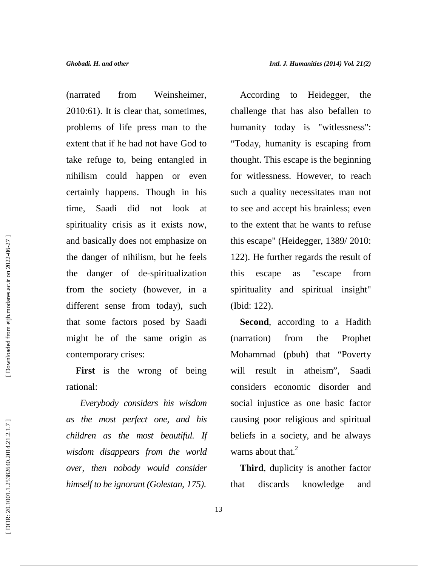(narrated from Weinsheimer, 2010:61). It is clear that, sometimes, problems of life press man to the extent that if he had not have God to take refuge to, being entangled in nihilism could happen or even certainly happens. Though in his time, Saadi did not look at spirituality crisis as it exists now, and basically does not emphasize on the danger of nihilism, but he feels the danger of de-spiritualization from the society (however, in a different sense from today), such that some factors posed by Saadi might be of the same origin as contemporary crises:

First is the wrong of being will rational:

*Everybody considers his wisdom as the most perfect one, and his children as the most beautiful. If wisdom disappears from the world over, then nobody would consider himself to be ignorant (Golestan, 175).*

According to Heidegger, the challenge that has also befallen to humanity today is "witlessness": "Today, humanity is escaping from thought. This escape is the beginning for witlessness. However, to reach such a quality necessitates man not to see and accept his brainless; even to the extent that he wants to refuse this escape" (Heidegger, 1389/ 2010: 122). He further regards the result of escape as "escape from spirituality and spiritual insight" (Ibid: 122).

**Second**, according to a Hadith (narration) from the Prophet Mohammad (pbuh) that "Poverty result in atheism", Saadi considers economic disorder and social injustice as one basic factor causing poor religious and spiritual beliefs in a society, and he always warns about that.<sup>2</sup>

**Third**, duplicity is another factor that discards knowledge and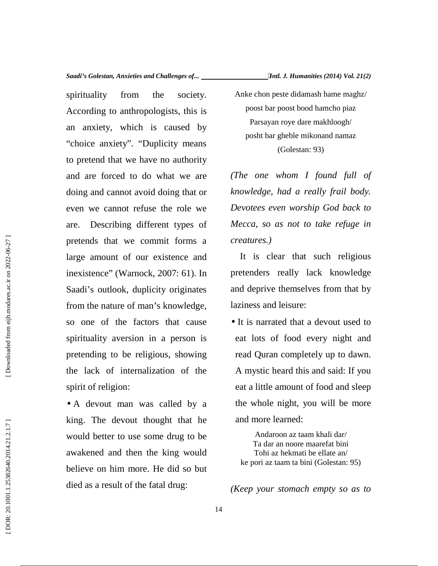spirituality from the society. According to anthropologists, this is an anxiety, which is caused by "choice anxiety". "Duplicity means to pretend that we have no authority and are forced to do what we are doing and cannot avoid doing that or even we cannot refuse the role we are. Describing different types of pretends that we commit forms a large amount of our existence and inexistence" (Warnock, 2007: 61). In Saadi's outlook, duplicity originates from the nature of man's knowledge, so one of the factors that cause spirituality aversion in a person is pretending to be religious, showing the lack of internalization of the spirit of religion:

• A devout man was called by a king. The devout thought that he would better to use some drug to be awakened and then the king would believe on him more. He did so but died as a result of the fatal drug:

Anke chon peste didamash hame maghz/ poost bar poost bood hamcho piaz Parsayan roye dare makhloogh/ posht bar gheble mikonand namaz (Golestan: 93)

*(The one whom I found full of knowledge, had a really frail body. Devotees even worship God back to Mecca, so as not to take refuge in creatures.)*

It is clear that such religious pretenders really lack knowledge and deprive themselves from that by laziness and leisure:

• It is narrated that a devout used to eat lots of food every night and read Quran completely up to dawn. A mystic heard this and said: If you eat a little amount of food and sleep the whole night, you will be more and more learned:

Andaroon az taam khali dar/ Ta dar an noore maarefat bini Tohi az hekmati be ellate an/ ke pori az taam ta bini (Golestan: 95)

*(Keep your stomach empty so as to*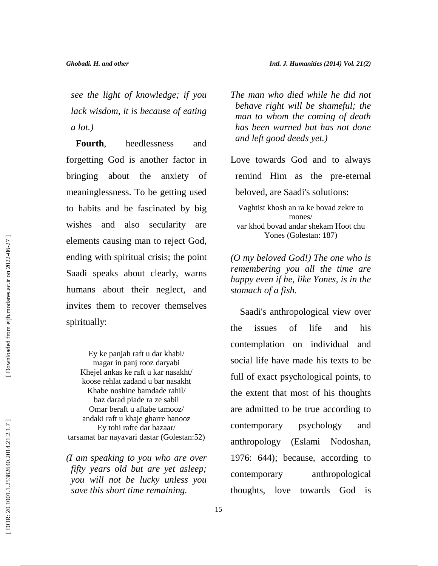*see the light of knowledge; if you lack wisdom, it is because of eating a lot.)*

**Fourth**, heedlessness and forgetting God is another factor in bringing about the anxiety of meaninglessness. To be getting used to habits and be fascinated by big wishes and also secularity are elements causing man to reject God, ending with spiritual crisis; the point Saadi speaks about clearly, warns humans about their neglect, and invites them to recover themselves spiritually:

Ey ke panjah raft u dar khabi/ magar in panj rooz daryabi Khejel ankas ke raft u kar nasakht/ koose rehlat zadand u bar nasakht Khabe noshine bamdade rahil/ baz darad piade ra ze sabil Omar beraft u aftabe tamooz/ andaki raft u khaje gharre hanooz Ey tohi rafte dar bazaar/ tarsamat bar nayavari dastar (Golestan:52)

*(I am speaking to you who are over fifty years old but are yet asleep; you will not be lucky unless you* contemporary *save this short time remaining.*

*The man who died while he did not behave right will be shameful; the man to whom the coming of death has been warned but has not done and left good deeds yet.)*

Love towards God and to always remind Him as the pre-eternal beloved, are Saadi's solutions: Vaghtist khosh an ra ke bovad zekre to

mones/ var khod bovad andar shekam Hoot chu Yones (Golestan: 187)

*(O my beloved God!) The one who is remembering you all the time are happy even if he, like Yones, is in the stomach of a fish.*

Saadi's anthropological view over the issues of life and his contemplation on individual and social life have made his texts to be full of exact psychological points, to the extent that most of his thoughts are admitted to be true according to contemporary psychology and anthropology (Eslami Nodoshan, 1976: 644); because, according to anthropological thoughts, love towards God is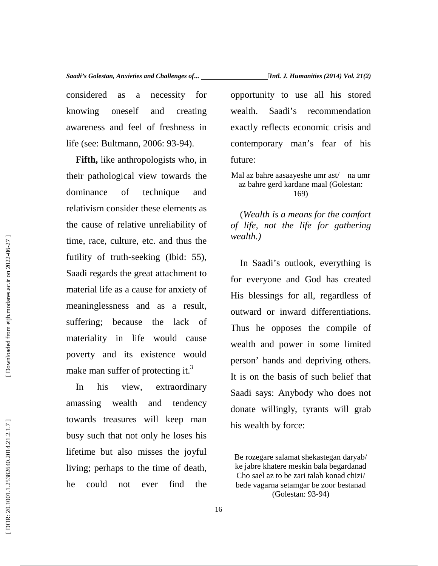considered as a necessity for knowing oneself and creating awareness and feel of freshness in life (see: Bultmann, 2006: 93-94).

**Fifth,** like anthropologists who, in their pathological view towards the dominance of technique and relativism consider these elements as the cause of relative unreliability of time, race, culture, etc. and thus the futility of truth-seeking (Ibid: 55), Saadi regards the great attachment to material life as a cause for anxiety of meaninglessness and as a result, suffering; because the lack of materiality in life would cause poverty and its existence would make man suffer of protecting it.<sup>3</sup> (Formulation) and thus the set of the set of the set of the set of the set of the set of the set of the set of the set of the set of the set of the set of the set of the set of the set of the set of the set of the set of

In his view, extraordinary amassing wealth and tendency towards treasures will keep man busy such that not only he loses his lifetime but also misses the joyful living; perhaps to the time of death, he could not ever find the opportunity to use all his stored Saadi's recommendation exactly reflects economic crisis and contemporary man's fear of his

future:

### Mal az bahre aasaayeshe umr ast/ na umr az bahre gerd kardane maal (Golestan: 169)

(*Wealth is a means for the comfort of life, not the life for gathering wealth.)*

In Saadi's outlook, everything is for everyone and God has created His blessings for all, regardless of outward or inward differentiations. Thus he opposes the compile of wealth and power in some limited person' hands and depriving others. It is on the basis of such belief that Saadi says: Anybody who does not donate willingly, tyrants will grab his wealth by force:

Be rozegare salamat shekastegan daryab/ ke jabre khatere meskin bala begardanad Cho sael az to be zari talab konad chizi/ bede vagarna setamgar be zoor bestanad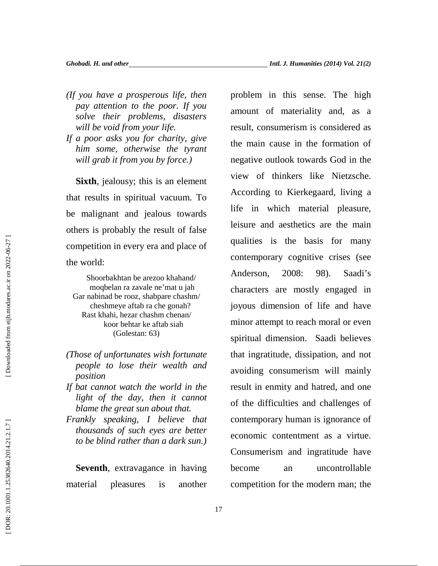- *(If you have a prosperous life, then pay attention to the poor. If you solve their problems, disasters will be void from your life.*
- *If a poor asks you for charity, give him some, otherwise the tyrant will grab it from you by force.)*

**Sixth**, jealousy; this is an element that results in spiritual vacuum. To be malignant and jealous towards others is probably the result of false competition in every era and place of the world:

Shoorbakhtan be arezoo khahand/ moqbelan ra zavale ne'mat u jah Gar nabinad be rooz, shabpare chashm/ cheshmeye aftab ra che gonah? Rast khahi, hezar chashm chenan/ koor behtar ke aftab siah (Golestan: 63)

- *(Those of unfortunates wish fortunate people to lose their wealth and position*
- *If bat cannot watch the world in the light of the day, then it cannot blame the great sun about that.*
- *Frankly speaking, I believe that thousands of such eyes are better to be blind rather than a dark sun.)*

**Seventh**, extravagance in having become material pleasures is another

problem in this sense. The high amount of materiality and, as a result, consumerism is considered as the main cause in the formation of negative outlook towards God in the view of thinkers like Nietzsche. According to Kierkegaard, living a life in which material pleasure, leisure and aesthetics are the main qualities is the basis for many contemporary cognitive crises (see Anderson, 2008: 98). Saadi's characters are mostly engaged in joyous dimension of life and have minor attempt to reach moral or even spiritual dimension. Saadi believes that ingratitude, dissipation, and not avoiding consumerism will mainly result in enmity and hatred, and one of the difficulties and challenges of contemporary human is ignorance of economic contentment as a virtue. Consumerism and ingratitude have an uncontrollable competition for the modern man; the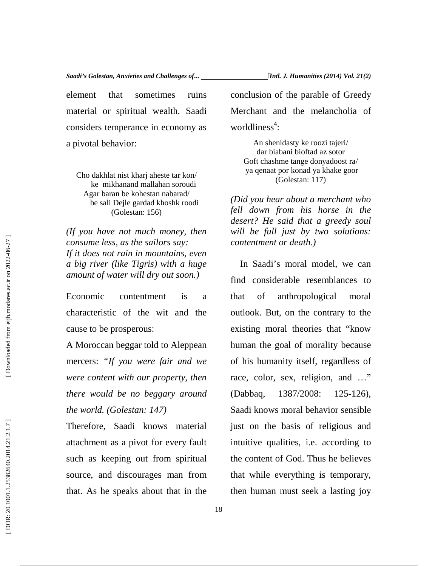element that sometimes ruins material or spiritual wealth. Saadi considers temperance in economy as a pivotal behavior:

Cho dakhlat nist kharj aheste tar kon/ ke mikhanand mallahan soroudi Agar baran be kohestan nabarad/ be sali Dejle gardad khoshk roodi (Golestan: 156)

*(If you have not much money, then consume less, as the sailors say: If it does not rain in mountains, even a big river (like Tigris) with a huge amount of water will dry out soon.)*

Economic contentment is a that characteristic of the wit and the cause to be prosperous:

A Moroccan beggar told to Aleppean mercers: *"If you were fair and we were content with our property, then there would be no beggary around the world. (Golestan: 147)*

Therefore, Saadi knows material attachment as a pivot for every fault such as keeping out from spiritual source, and discourages man from that. As he speaks about that in the conclusion of the parable of Greedy Merchant and the melancholia of

An shenidasty ke roozi tajeri/ dar biabani bioftad az sotor Goft chashme tange donyadoost ra/ ya qenaat por konad ya khake goor (Golestan: 117)

worldliness<sup>4</sup>:

*(Did you hear about a merchant who fell down from his horse in the desert? He said that a greedy soul will be full just by two solutions: contentment or death.)*

In Saadi's moral model, we can find considerable resemblances to of anthropological moral outlook. But, on the contrary to the existing moral theories that "know human the goal of morality because of his humanity itself, regardless of race, color, sex, religion, and …" (1387/2008: 125-126). Saadi knows moral behavior sensible just on the basis of religious and intuitive qualities, i.e. according to the content of God. Thus he believes that while everything is temporary, then human must seek a lasting joy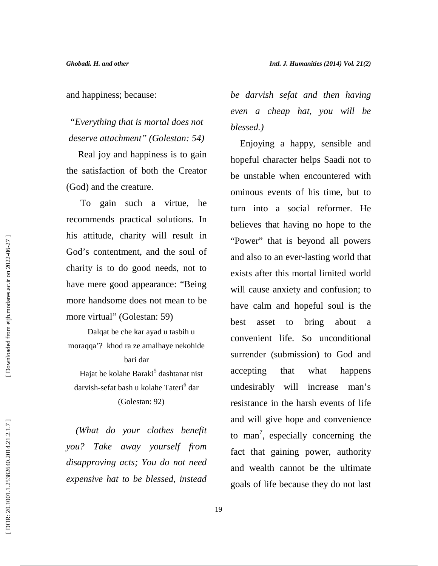and happiness; because:

*"Everything that is mortal does not deserve attachment" (Golestan: 54)*

Real joy and happiness is to gain the satisfaction of both the Creator (God) and the creature.

To gain such a virtue, he recommends practical solutions. In his attitude, charity will result in God's contentment, and the soul of charity is to do good needs, not to have mere good appearance: "Being more handsome does not mean to be more virtual" (Golestan: 59)

Dalqat be che kar ayad u tasbih u moraqqa'? khod ra ze amalhaye nekohide bari dar

Hajat be kolahe Baraki<sup>5</sup> dashtanat nist darvish-sefat bash u kolahe Tateri<sup>6</sup> dar (Golestan: 92)

*(What do your clothes benefit you? Take away yourself from disapproving acts; You do not need expensive hat to be blessed, instead* *be darvish sefat and then having even a cheap hat, you will be blessed.)*

Enjoying a happy, sensible and hopeful character helps Saadi not to be unstable when encountered with ominous events of his time, but to turn into a social reformer. He believes that having no hope to the "Power" that is beyond all powers and also to an ever-lasting world that exists after this mortal limited world will cause anxiety and confusion; to have calm and hopeful soul is the best asset to bring about a convenient life. So unconditional surrender (submission) to God and accepting that what happens undesirably will increase man's resistance in the harsh events of life and will give hope and convenience to man<sup>7</sup>, especially concerning the fact that gaining power, authority and wealth cannot be the ultimate goals of life because they do not last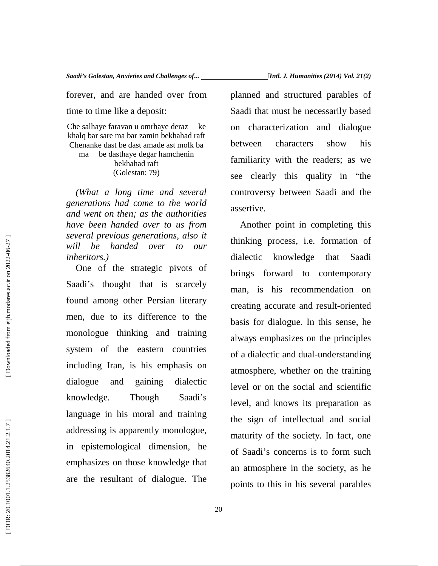forever, and are handed over from time to time like a deposit:

Che salhaye faravan u omrhaye deraz ke khalq bar sare ma bar zamin bekhahad raft Chenanke dast be dast amade ast molk ba ma be dasthaye degar hamchenin bekhahad raft (Golestan: 79)

*(What a long time and several generations had come to the world and went on then; as the authorities have been handed over to us from several previous generations, also it will be handed over to our inheritors.)*

One of the strategic pivots of Saadi's thought that is scarcely found among other Persian literary men, due to its difference to the monologue thinking and training system of the eastern countries including Iran, is his emphasis on dialogue and gaining dialectic knowledge. Though Saadi's language in his moral and training addressing is apparently monologue, in epistemological dimension, he emphasizes on those knowledge that are the resultant of dialogue. The planned and structured parables of Saadi that must be necessarily based on characterization and dialogue characters show his familiarity with the readers; as we see clearly this quality in "the controversy between Saadi and the assertive.

Another point in completing this thinking process, i.e. formation of dialectic knowledge that Saadi brings forward to contemporary man, is his recommendation on creating accurate and result-oriented basis for dialogue. In this sense, he always emphasizes on the principles of a dialectic and dual-understanding atmosphere, whether on the training level or on the social and scientific level, and knows its preparation as the sign of intellectual and social maturity of the society. In fact, one of Saadi's concerns is to form such an atmosphere in the society, as he points to this in his several parables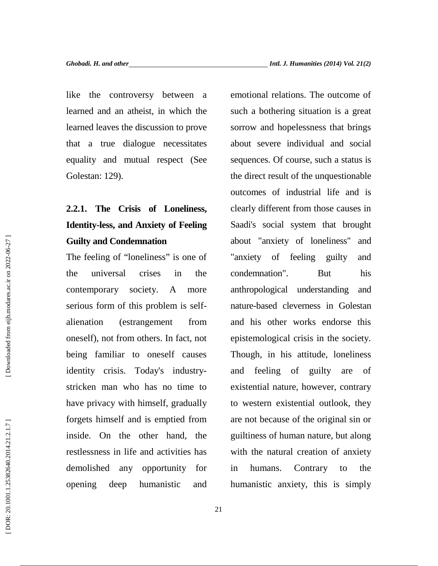like the controversy between a learned and an atheist, in which the learned leaves the discussion to prove that a true dialogue necessitates equality and mutual respect (See Golestan: 129).

# **2.2.1. The Crisis of Loneliness, Identity-less, and Anxiety of Feeling Guilty and Condemnation**

The feeling of "loneliness" is one of the universal crises in the contemporary society. A more serious form of this problem is self alienation (estrangement from oneself), not from others. In fact, not being familiar to oneself causes identity crisis. Today's industry stricken man who has no time to have privacy with himself, gradually forgets himself and is emptied from inside. On the other hand, the restlessness in life and activities has demolished any opportunity for opening deep humanistic and

emotional relations. The outcome of such a bothering situation is a great sorrow and hopelessness that brings about severe individual and social sequences. Of course, such a status is the direct result of the unquestionable outcomes of industrial life and is clearly different from those causes in Saadi's social system that brought about "anxiety of loneliness" and "anxiety of feeling guilty and condemnation". But his anthropological understanding and nature-based cleverness in Golestan and his other works endorse this epistemological crisis in the society. Though, in his attitude, loneliness and feeling of guilty are of existential nature, however, contrary to western existential outlook, they are not because of the original sin or guiltiness of human nature, but along with the natural creation of anxiety humans. Contrary to the humanistic anxiety, this is simply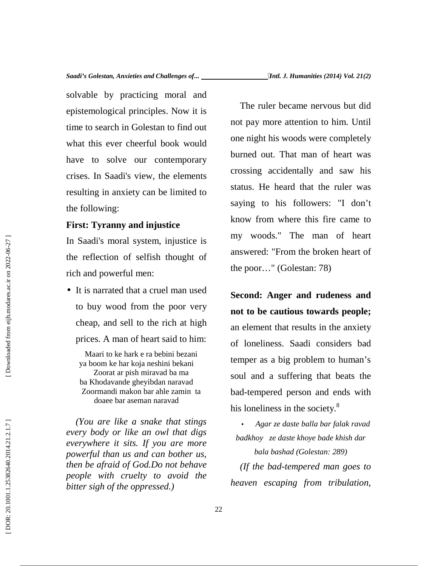solvable by practicing moral and epistemological principles. Now it is time to search in Golestan to find out what this ever cheerful book would have to solve our contemporary crises. In Saadi's view, the elements resulting in anxiety can be limited to the following:

### **First: Tyranny and injustice**

In Saadi's moral system, injustice is the reflection of selfish thought of rich and powerful men:

• It is narrated that a cruel man used to buy wood from the poor very cheap, and sell to the rich at high prices. A man of heart said to him:

Maari to ke hark e ra bebini bezani ya boom ke har koja neshini bekani Zoorat ar pish miravad ba ma ba Khodavande gheyibdan naravad Zoormandi makon bar ahle zamin ta doaee bar aseman naravad

*(You are like a snake that stings every body or like an owl that digs everywhere it sits. If you are more powerful than us and can bother us, then be afraid of God.Do not behave people with cruelty to avoid the bitter sigh of the oppressed.)*

The ruler became nervous but did not pay more attention to him. Until one night his woods were completely burned out. That man of heart was crossing accidentally and saw his status. He heard that the ruler was saying to his followers: "I don't know from where this fire came to my woods." The man of heart answered: "From the broken heart of the poor…" (Golestan: 78)

**Second: Anger and rudeness and not to be cautious towards people;** an element that results in the anxiety of loneliness. Saadi considers bad temper as a big problem to human's soul and a suffering that beats the bad-tempered person and ends with his loneliness in the society.<sup>8</sup>

 *Agar ze daste balla bar falak ravad badkhoy ze daste khoye bade khish dar bala bashad (Golestan: 289)*

*(If the bad-tempered man goes to heaven escaping from tribulation,*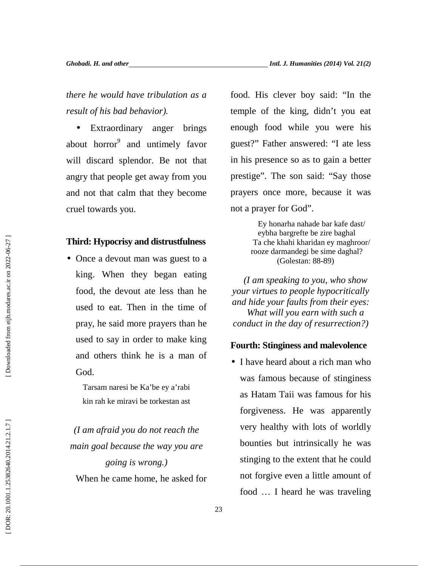*there he would have tribulation as a result of his bad behavior).*

• Extraordinary anger brings about horror<sup>9</sup> and untimely favor will discard splendor. Be not that angry that people get away from you and not that calm that they become cruel towards you.

### **Third: Hypocrisy and distrustfulness**

• Once a devout man was guest to a king. When they began eating food, the devout ate less than he used to eat. Then in the time of pray, he said more prayers than he used to say in order to make king and others think he is a man of God.

> Tarsam naresi be Ka'be ey a'rabi kin rah ke miravi be torkestan ast

*(I am afraid you do not reach the main goal because the way you are going is wrong.)* When he came home, he asked for food. His clever boy said: "In the temple of the king, didn't you eat enough food while you were his guest?" Father answered: "I ate less in his presence so as to gain a better prestige". The son said: "Say those prayers once more, because it was not a prayer for God".

> Ey honarha nahade bar kafe dast/ eybha bargrefte be zire baghal Ta che khahi kharidan ey maghroor/ rooze darmandegi be sime daghal? (Golestan: 88-89)

*(I am speaking to you, who show your virtues to people hypocritically and hide your faults from their eyes: What will you earn with such a conduct in the day of resurrection?)*

### **Fourth: Stinginess and malevolence**

• I have heard about a rich man who was famous because of stinginess as Hatam Taii was famous for his forgiveness. He was apparently very healthy with lots of worldly bounties but intrinsically he was stinging to the extent that he could not forgive even a little amount of food … I heard he was traveling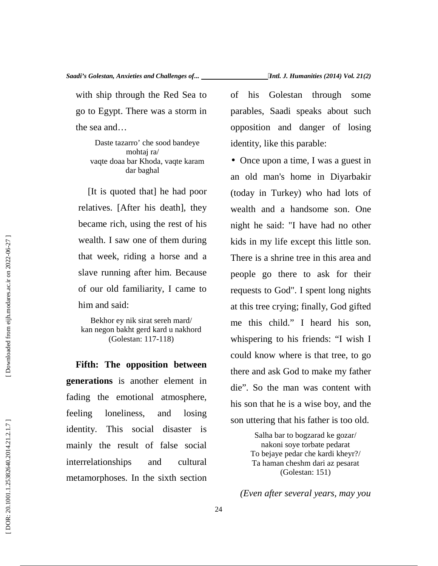with ship through the Red Sea to of go to Egypt. There was a storm in the sea and…

Daste tazarro' che sood bandeye mohtaj ra/ vaqte doaa bar Khoda, vaqte karam dar baghal

[It is quoted that] he had poor relatives. [After his death], they became rich, using the rest of his wealth. I saw one of them during that week, riding a horse and a slave running after him. Because of our old familiarity, I came to him and said:

Bekhor ey nik sirat sereh mard/ kan negon bakht gerd kard u nakhord (Golestan: 117-118)

**Fifth: The opposition between generations** is another element in fading the emotional atmosphere, feeling loneliness, and losing identity. This social disaster is mainly the result of false social interrelationships and cultural metamorphoses. In the sixth section

his Golestan through some parables, Saadi speaks about such opposition and danger of losing identity, like this parable:

• Once upon a time, I was a guest in an old man's home in Diyarbakir (today in Turkey) who had lots of wealth and a handsome son. One night he said: "I have had no other kids in my life except this little son. There is a shrine tree in this area and people go there to ask for their requests to God". I spent long nights at this tree crying; finally, God gifted me this child." I heard his son, whispering to his friends: "I wish I could know where is that tree, to go there and ask God to make my father die". So the man was content with his son that he is a wise boy, and the son uttering that his father is too old.

> Salha bar to bogzarad ke gozar/ nakoni soye torbate pedarat To bejaye pedar che kardi kheyr?/ Ta haman cheshm dari az pesarat (Golestan: 151)

*(Even after several years, may you*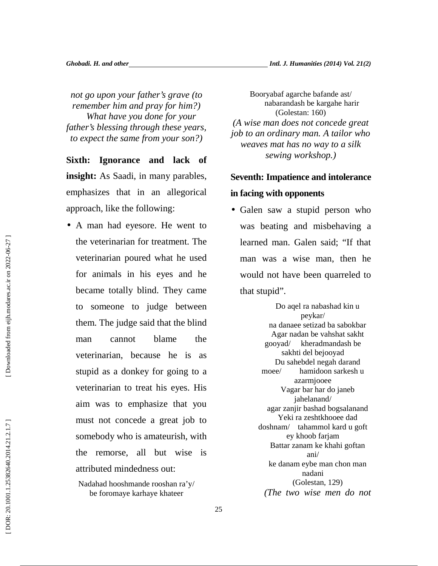*not go upon your father's grave (to remember him and pray for him?) What have you done for your father's blessing through these years, to expect the same from your son?)*

**Sixth: Ignorance and lack of insight:** As Saadi, in many parables, emphasizes that in an allegorical approach, like the following:

• A man had eyesore. He went to the veterinarian for treatment. The veterinarian poured what he used for animals in his eyes and he became totally blind. They came to someone to judge between them. The judge said that the blind man cannot blame the veterinarian, because he is as stupid as a donkey for going to a veterinarian to treat his eyes. His aim was to emphasize that you must not concede a great job to somebody who is amateurish, with the remorse, all but wise is attributed mindedness out:

Booryabaf agarche bafande ast/ nabarandash be kargahe harir (Golestan: 160) *(A wise man does not concede great job to an ordinary man. A tailor who weaves mat has no way to a silk sewing workshop.)*

# **Seventh: Impatience and intolerance**

## **in facing with opponents**

• Galen saw a stupid person who was beating and misbehaving a learned man. Galen said; "If that man was a wise man, then he would not have been quarreled to that stupid".

> Do aqel ra nabashad kin u peykar/ na danaee setizad ba sabokbar Agar nadan be vahshat sakht gooyad/ kheradmandash be sakhti del bejooyad Du sahebdel negah darand moee/ hamidoon sarkesh u azarmjooee Vagar bar har do janeb jahelanand/ agar zanjir bashad bogsalanand Yeki ra zeshtkhooee dad doshnam/ tahammol kard u goft ey khoob farjam Battar zanam ke khahi goftan ani/ ke danam eybe man chon man nadani (Golestan, 129) *(The two wise men do not*

Nadahad hooshmande rooshan ra'y/ be foromaye karhaye khateer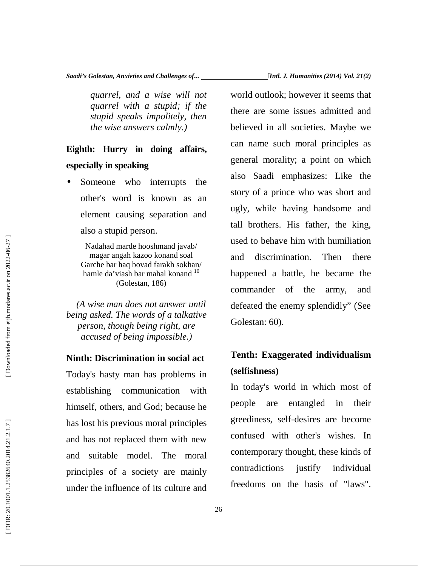*quarrel, and a wise will not quarrel with a stupid; if the stupid speaks impolitely, then the wise answers calmly.)*

# **Eighth: Hurry in doing affairs, especially in speaking**

• Someone who interrupts the other's word is known as an element causing separation and also a stupid person.

Nadahad marde hooshmand javab/ magar angah kazoo konand soal Garche bar haq bovad farakh sokhan/ hamle da'viash bar mahal konand <sup>10</sup> (Golestan, 186)

*(A wise man does not answer until being asked. The words of a talkative person, though being right, are accused of being impossible.)*

### **Ninth: Discrimination in social act**

Today's hasty man has problems in establishing communication with himself, others, and God; because he has lost his previous moral principles and has not replaced them with new and suitable model. The moral principles of a society are mainly under the influence of its culture and

world outlook; however it seems that there are some issues admitted and believed in all societies. Maybe we can name such moral principles as general morality; a point on which also Saadi emphasizes: Like the story of a prince who was short and ugly, while having handsome and tall brothers. His father, the king, used to behave him with humiliation and discrimination. Then there happened a battle, he became the commander of the army, and defeated the enemy splendidly" (See Golestan: 60).

# **Tenth: Exaggerated individualism (selfishness)**

In today's world in which most of people are entangled in their greediness, self-desires are become confused with other's wishes. In contemporary thought, these kinds of justify individual freedoms on the basis of "laws".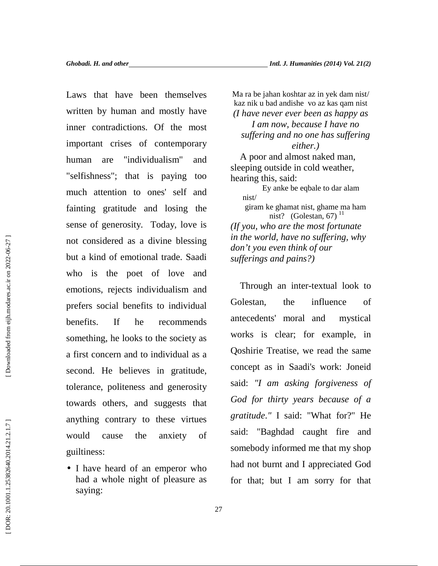Laws that have been themselves written by human and mostly have inner contradictions. Of the most important crises of contemporary human are "individualism" and "selfishness"; that is paying too much attention to ones' self and fainting gratitude and losing the sense of generosity. Today, love is not considered as a divine blessing but a kind of emotional trade. Saadi who is the poet of love and emotions, rejects individualism and prefers social benefits to individual benefits. If he recommends something, he looks to the society as a first concern and to individual as a second. He believes in gratitude, tolerance, politeness and generosity towards others, and suggests that anything contrary to these virtues would cause the anxiety of guiltiness:

• I have heard of an emperor who had a whole night of pleasure as saying:

Ma ra be jahan koshtar az in yek dam nist/ kaz nik u bad andishe vo az kas qam nist *(I have never ever been as happy as I am now, because I have no suffering and no one has suffering either.)* A poor and almost naked man, sleeping outside in cold weather, hearing this, said: Ey anke be eqbale to dar alam nist/ giram ke ghamat nist, ghame ma ham nist? (Golestan, 67) $^{11}$ *(If you, who are the most fortunate in the world, have no suffering, why don't you even think of our sufferings and pains?)*

Through an inter-textual look to Golestan, the influence of antecedents' moral and mystical works is clear; for example, in Qoshirie Treatise, we read the same concept as in Saadi's work: Joneid said: *"I am asking forgiveness of God for thirty years because of a gratitude*.*"* I said: "What for?" He said: "Baghdad caught fire and somebody informed me that my shop had not burnt and I appreciated God for that; but I am sorry for that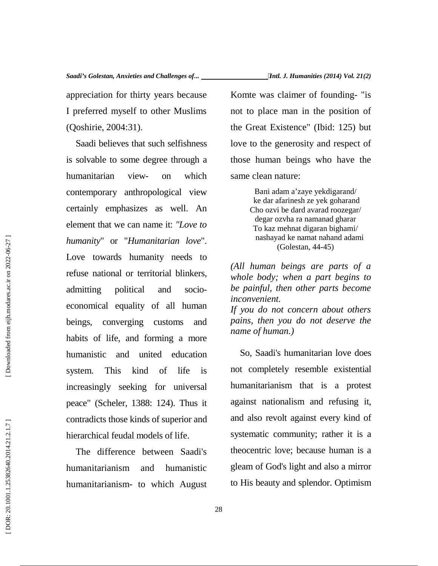appreciation for thirty years because I preferred myself to other Muslims (Qoshirie, 2004:31).

Saadi believes that such selfishness is solvable to some degree through a humanitarian view- on which contemporary anthropological view certainly emphasizes as well. An element that we can name it: *"Love to humanity*" or "*Humanitarian love*". Love towards humanity needs to refuse national or territorial blinkers, admitting political and socio economical equality of all human beings, converging customs and habits of life, and forming a more humanistic and united education system. This kind of life is increasingly seeking for universal peace" (Scheler, 1388: 124). Thus it contradicts those kinds of superior and hierarchical feudal models of life.

The difference between Saadi's humanitarianism and humanistic humanitarianism- to which August

Komte was claimer of founding- "is not to place man in the position of the Great Existence" (Ibid: 125) but love to the generosity and respect of those human beings who have the same clean nature:

> Bani adam a'zaye yekdigarand/ ke dar afarinesh ze yek goharand Cho ozvi be dard avarad roozegar/ degar ozvha ra namanad gharar To kaz mehnat digaran bighami/ nashayad ke namat nahand adami (Golestan, 44-45)

*(All human beings are parts of a whole body; when a part begins to be painful, then other parts become inconvenient. If you do not concern about others pains, then you do not deserve the name of human.)*

So, Saadi's humanitarian love does not completely resemble existential humanitarianism that is a protest against nationalism and refusing it, and also revolt against every kind of systematic community; rather it is a theocentric love; because human is a gleam of God's light and also a mirror to His beauty and splendor. Optimism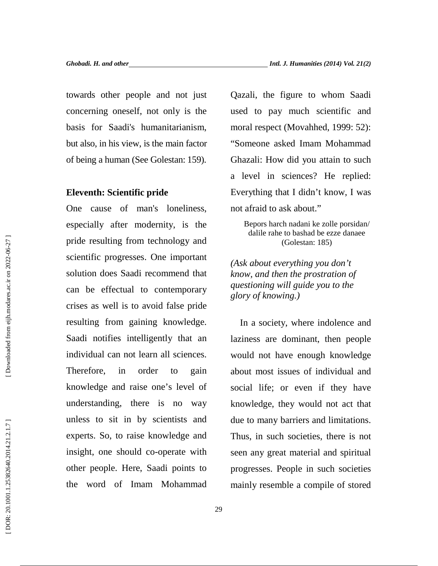towards other people and not just concerning oneself, not only is the basis for Saadi's humanitarianism, but also, in his view, is the main factor of being a human (See Golestan: 159).

### **Eleventh: Scientific pride**

One cause of man's loneliness, especially after modernity, is the pride resulting from technology and scientific progresses. One important solution does Saadi recommend that can be effectual to contemporary crises as well is to avoid false pride resulting from gaining knowledge. Saadi notifies intelligently that an individual can not learn all sciences. Therefore, in order to gain knowledge and raise one's level of understanding, there is no way unless to sit in by scientists and experts. So, to raise knowledge and insight, one should co-operate with other people. Here, Saadi points to the word of Imam Mohammad

Qazali, the figure to whom Saadi used to pay much scientific and moral respect (Movahhed, 1999: 52): "Someone asked Imam Mohammad Ghazali: How did you attain to such a level in sciences? He replied: Everything that I didn't know, I was not afraid to ask about."

Bepors harch nadani ke zolle porsidan/ dalile rahe to bashad be ezze danaee (Golestan: 185)

*(Ask about everything you don't know, and then the prostration of questioning will guide you to the glory of knowing.)*

In a society, where indolence and laziness are dominant, then people would not have enough knowledge about most issues of individual and social life; or even if they have knowledge, they would not act that due to many barriers and limitations. Thus, in such societies, there is not seen any great material and spiritual progresses. People in such societies mainly resemble a compile of stored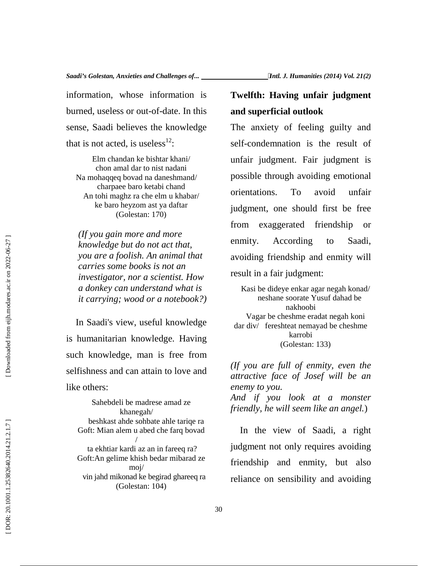information, whose information is burned, useless or out-of-date. In this sense, Saadi believes the knowledge that is not acted, is useless $^{12}$ :

Elm chandan ke bishtar khani/ chon amal dar to nist nadani Na mohaqqeq bovad na daneshmand/ charpaee baro ketabi chand An tohi maghz ra che elm u khabar/ ke baro heyzom ast ya daftar (Golestan: 170)

*(If you gain more and more knowledge but do not act that, you are a foolish. An animal that carries some books is not an investigator, nor a scientist. How a donkey can understand what is it carrying; wood or a notebook?)*

In Saadi's view, useful knowledge is humanitarian knowledge. Having such knowledge, man is free from selfishness and can attain to love and like others:

Sahebdeli be madrese amad ze khanegah/ beshkast ahde sohbate ahle tariqe ra Goft: Mian alem u abed che farq bovad / ta ekhtiar kardi az an in fareeq ra? Goft:An gelime khish bedar mibarad ze moj/ vin jahd mikonad ke begirad ghareeq ra (Golestan: 104)

# **Twelfth: Having unfair judgment and superficial outlook**

The anxiety of feeling guilty and self-condemnation is the result of unfair judgment. Fair judgment is possible through avoiding emotional orientations. To avoid unfair judgment, one should first be free from exaggerated friendship or enmity. According to Saadi, avoiding friendship and enmity will result in a fair judgment:

Kasi be dideye enkar agar negah konad/ neshane soorate Yusuf dahad be nakhoobi Vagar be cheshme eradat negah koni dar div/ fereshteat nemayad be cheshme karrobi (Golestan: 133)

*(If you are full of enmity, even the attractive face of Josef will be an enemy to you. And if you look at a monster friendly, he will seem like an angel.*)

In the view of Saadi, a right judgment not only requires avoiding friendship and enmity, but also reliance on sensibility and avoiding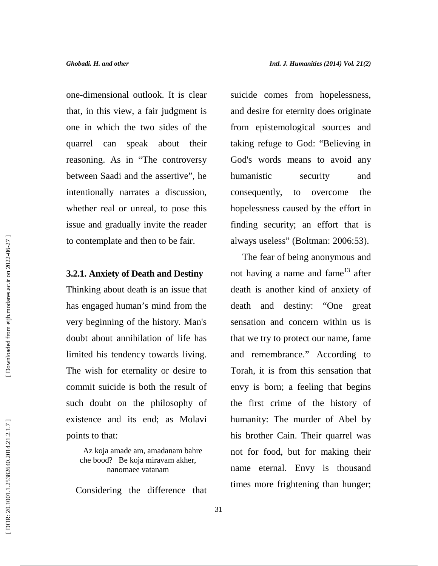one-dimensional outlook. It is clear that, in this view, a fair judgment is one in which the two sides of the quarrel can speak about their reasoning. As in "The controversy between Saadi and the assertive", he intentionally narrates a discussion, whether real or unreal, to pose this issue and gradually invite the reader to contemplate and then to be fair.

### **3.2.1. Anxiety of Death and Destiny**

Thinking about death is an issue that has engaged human's mind from the very beginning of the history. Man's doubt about annihilation of life has limited his tendency towards living. The wish for eternality or desire to commit suicide is both the result of such doubt on the philosophy of existence and its end; as Molavi points to that:

> Az koja amade am, amadanam bahre che bood? Be koja miravam akher, nanomaee vatanam

Considering the difference that

suicide comes from hopelessness, and desire for eternity does originate from epistemological sources and taking refuge to God: "Believing in God's words means to avoid any humanistic security and consequently, to overcome the hopelessness caused by the effort in finding security; an effort that is always useless" (Boltman: 2006:53).

The fear of being anonymous and not having a name and fame<sup>13</sup> after death is another kind of anxiety of death and destiny: "One great sensation and concern within us is that we try to protect our name, fame and remembrance." According to Torah, it is from this sensation that envy is born; a feeling that begins the first crime of the history of humanity: The murder of Abel by his brother Cain. Their quarrel was not for food, but for making their name eternal. Envy is thousand times more frightening than hunger;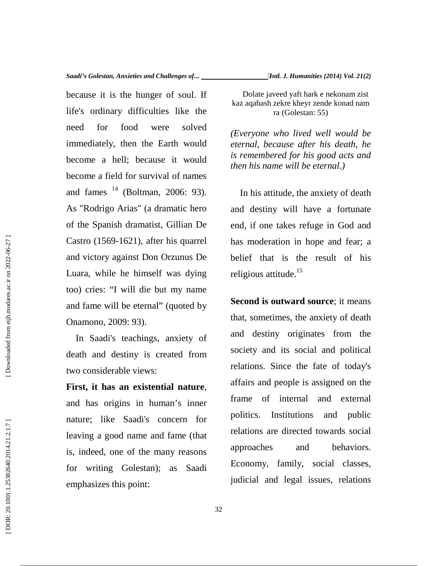because it is the hunger of soul. If life's ordinary difficulties like the need for food were solved immediately, then the Earth would become a hell; because it would become a field for survival of names and fames  $14$  (Boltman, 2006: 93). As "Rodrigo Arias" (a dramatic hero of the Spanish dramatist, Gillian De Castro (1569-1621), after his quarrel and victory against Don Orzunus De Luara, while he himself was dying too) cries: "I will die but my name and fame will be eternal" (quoted by Onamono, 2009: 93).

In Saadi's teachings, anxiety of death and destiny is created from two considerable views:

**First, it has an existential nature**, and has origins in human's inner nature; like Saadi's concern for leaving a good name and fame (that is, indeed, one of the many reasons for writing Golestan); as Saadi emphasizes this point:

Dolate javeed yaft hark e nekonam zist kaz aqabash zekre kheyr zende konad nam ra (Golestan: 55)

*(Everyone who lived well would be eternal, because after his death, he is remembered for his good acts and then his name will be eternal.)*

In his attitude, the anxiety of death and destiny will have a fortunate end, if one takes refuge in God and has moderation in hope and fear; a belief that is the result of his religious attitude.<sup>15</sup>

**Second is outward source**; it means that, sometimes, the anxiety of death and destiny originates from the society and its social and political relations. Since the fate of today's affairs and people is assigned on the frame of internal and external Institutions and public relations are directed towards social approaches and behaviors. Economy, family, social classes, judicial and legal issues, relations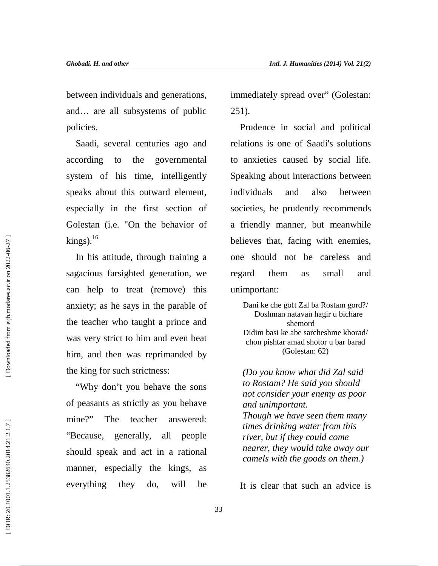between individuals and generations, and… are all subsystems of public policies.

Saadi, several centuries ago and according to the governmental system of his time, intelligently speaks about this outward element, especially in the first section of Golestan (i.e. "On the behavior of  $kings$ ).<sup>16</sup>

In his attitude, through training a sagacious farsighted generation, we can help to treat (remove) this anxiety; as he says in the parable of the teacher who taught a prince and was very strict to him and even beat him, and then was reprimanded by the king for such strictness:

"Why don't you behave the sons of peasants as strictly as you behave mine?" The teacher answered: "Because, generally, all people should speak and act in a rational manner, especially the kings, as everything they do, will be immediately spread over" (Golestan: 251).

Prudence in social and political relations is one of Saadi's solutions to anxieties caused by social life. Speaking about interactions between individuals and also between societies, he prudently recommends a friendly manner, but meanwhile believes that, facing with enemies, one should not be careless and regard them as small and unimportant:

Dani ke che goft Zal ba Rostam gord?/ Doshman natavan hagir u bichare shemord Didim basi ke abe sarcheshme khorad/ chon pishtar amad shotor u bar barad (Golestan: 62)

*(Do you know what did Zal said to Rostam? He said you should not consider your enemy as poor and unimportant. Though we have seen them many times drinking water from this river, but if they could come nearer, they would take away our camels with the goods on them.)*

It is clear that such an advice is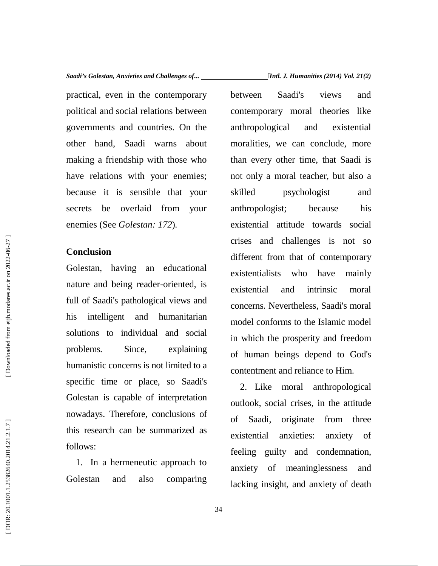practical, even in the contemporary political and social relations between governments and countries. On the other hand, Saadi warns about making a friendship with those who have relations with your enemies; because it is sensible that your secrets be overlaid from your enemies (See *Golestan: 172*)*.*

### **Conclusion**

Golestan, having an educational nature and being reader-oriented, is full of Saadi's pathological views and his intelligent and humanitarian solutions to individual and social problems. Since, explaining humanistic concerns is not limited to a specific time or place, so Saadi's Golestan is capable of interpretation nowadays. Therefore, conclusions of of this research can be summarized as follows:

1. In a hermeneutic approach to Golestan and also comparing between Saadi's views and contemporary moral theories like anthropological and existential moralities, we can conclude, more than every other time, that Saadi is not only a moral teacher, but also a psychologist and anthropologist; because his existential attitude towards social crises and challenges is not so different from that of contemporary existentialists who have mainly existential and intrinsic moral concerns. Nevertheless, Saadi's moral model conforms to the Islamic model in which the prosperity and freedom of human beings depend to God's contentment and reliance to Him.

2. Like moral anthropological outlook, social crises, in the attitude Saadi, originate from three anxieties: anxiety of feeling guilty and condemnation, anxiety of meaninglessness and lacking insight, and anxiety of death

Downloaded from eijh.modares.ac.ir on 2022-06-27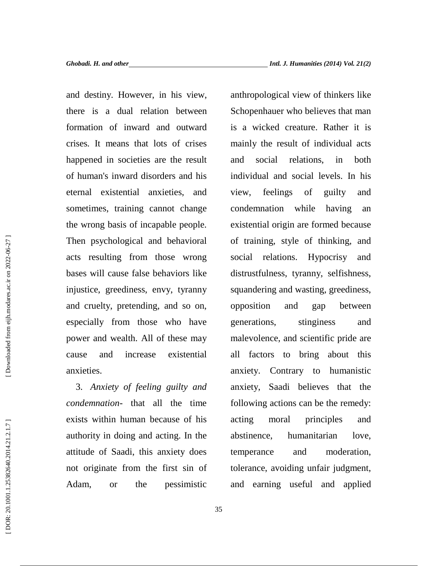and destiny. However, in his view, there is a dual relation between formation of inward and outward crises. It means that lots of crises happened in societies are the result of human's inward disorders and his eternal existential anxieties, and sometimes, training cannot change the wrong basis of incapable people. Then psychological and behavioral acts resulting from those wrong bases will cause false behaviors like injustice, greediness, envy, tyranny and cruelty, pretending, and so on, especially from those who have power and wealth. All of these may cause and increase existential anxieties.

3. *Anxiety of feeling guilty and condemnation*- that all the time exists within human because of his authority in doing and acting. In the attitude of Saadi, this anxiety does not originate from the first sin of Adam, or the pessimistic

anthropological view of thinkers like Schopenhauer who believes that man is a wicked creature. Rather it is mainly the result of individual acts and social relations, in both individual and social levels. In his feelings of guilty and condemnation while having an existential origin are formed because of training, style of thinking, and relations. Hypocrisy and distrustfulness, tyranny, selfishness, squandering and wasting, greediness, opposition and gap between generations, stinginess and malevolence, and scientific pride are all factors to bring about this anxiety. Contrary to humanistic anxiety, Saadi believes that the following actions can be the remedy: moral principles and humanitarian love, and moderation, tolerance, avoiding unfair judgment, and earning useful and applied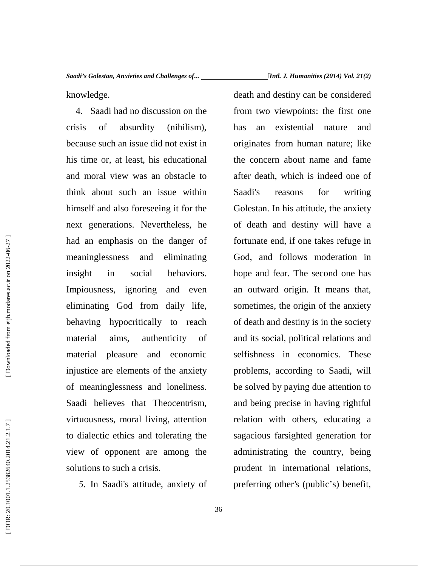*Saadi's Golestan, Anxieties and Challenges of... Intl. J. Humanities (2014) Vol. 21(2)*

knowledge.

4. Saadi had no discussion on the crisis of absurdity (nihilism), because such an issue did not exist in his time or, at least, his educational and moral view was an obstacle to think about such an issue within himself and also foreseeing it for the next generations. Nevertheless, he had an emphasis on the danger of meaninglessness and eliminating insight in social behaviors. Impiousness, ignoring and even eliminating God from daily life, behaving hypocritically to reach material aims, authenticity of material pleasure and economic injustice are elements of the anxiety of meaninglessness and loneliness. Saadi believes that Theocentrism, virtuousness, moral living, attention to dialectic ethics and tolerating the view of opponent are among the solutions to such a crisis.

*5.* In Saadi's attitude, anxiety of

death and destiny can be considered from two viewpoints: the first one has an existential nature and originates from human nature; like the concern about name and fame after death, which is indeed one of reasons for writing Golestan. In his attitude, the anxiety of death and destiny will have a fortunate end, if one takes refuge in God, and follows moderation in hope and fear. The second one has an outward origin. It means that, sometimes, the origin of the anxiety of death and destiny is in the society and its social, political relations and selfishness in economics. These problems, according to Saadi, will be solved by paying due attention to and being precise in having rightful relation with others, educating a sagacious farsighted generation for administrating the country, being prudent in international relations, preferring other's (public's) benefit,

Downloaded from eijh.modares.ac.ir on 2022-06-27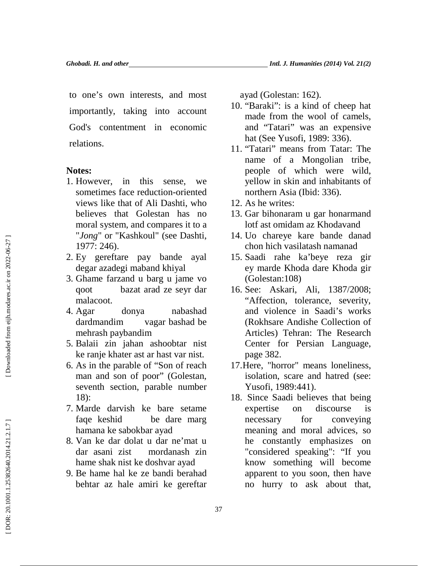to one's own interests, and most importantly, taking into account God's contentment in economic relations.

### **Notes:**

- 1. However, in this sense, we sometimes face reduction-oriented views like that of Ali Dashti, who believes that Golestan has no moral system, and compares it to a "*Jong*" or "Kashkoul" (see Dashti, 1977: 246).
- 2. Ey gereftare pay bande ayal degar azadegi maband khiyal
- 3. Ghame farzand u barg u jame vo qoot bazat arad ze seyr dar malacoot.
- 4. Agar donya nabashad dardmandim vagar bashad be mehrash paybandim
- 5. Balaii zin jahan ashoobtar nist ke ranje khater ast ar hast var nist.
- 6. As in the parable of "Son of reach man and son of poor" (Golestan, seventh section, parable number 18):
- 7. Marde darvish ke bare setame faqe keshid be dare marg hamana ke sabokbar ayad
- 8. Van ke dar dolat u dar ne'mat u dar asani zist mordanash zin hame shak nist ke doshvar ayad
- 9. Be hame hal ke ze bandi berahad behtar az hale amiri ke gereftar

ayad (Golestan: 162).

- 10. "Baraki": is a kind of cheep hat made from the wool of camels, and "Tatari" was an expensive hat (See Yusofi, 1989: 336).
- 11. "Tatari" means from Tatar: The name of a Mongolian tribe, people of which were wild, yellow in skin and inhabitants of northern Asia (Ibid: 336).
- 12. As he writes:
- 13. Gar bihonaram u gar honarmand lotf ast omidam az Khodavand
- 14. Uo chareye kare bande danad chon hich vasilatash namanad
- 15. Saadi rahe ka'beye reza gir ey marde Khoda dare Khoda gir (Golestan:108)
- 16. See: Askari, Ali, 1387/2008; "Affection, tolerance, severity, and violence in Saadi's works (Rokhsare Andishe Collection of Articles) Tehran: The Research Center for Persian Language, page 382.
- 17.Here, "horror" means loneliness, isolation, scare and hatred (see: Yusofi, 1989:441).
- 18. Since Saadi believes that being expertise on discourse is necessary for conveying meaning and moral advices, so he constantly emphasizes on "considered speaking": "If you know something will become apparent to you soon, then have no hurry to ask about that,

Downloaded from eijh.modares.ac.ir on 2022-06-27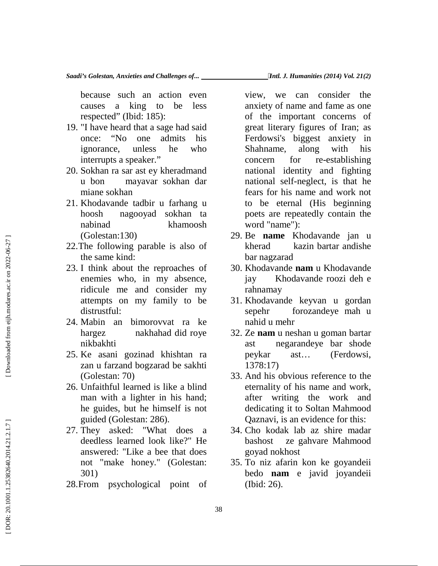because such an action even causes a king to be less respected" (Ibid: 185):

- 19. "I have heard that a sage had said once: "No one admits his ignorance, unless he who interrupts a speaker."
- 20. Sokhan ra sar ast ey kheradmand u bon mayavar sokhan dar miane sokhan
- 21. Khodavande tadbir u farhang u hoosh nagooyad sokhan ta nabinad khamoosh (Golestan:130)
- 22.The following parable is also of the same kind:
- 23. I think about the reproaches of enemies who, in my absence, ridicule me and consider my attempts on my family to be distrustful: (Colestan: 1301)<br>
22. The following parable is also of theract<br>
the same kind:<br>
22. The following parable is also of the dam ragzar:<br>
23. I think both the reproaches of 30. Khodavana<br>
include me and consider my rahamamay<br>
	- 24. Mabin an bimorovvat ra ke hargez nakhahad did roye nikbakhti
	- 25. Ke asani gozinad khishtan ra zan u farzand bogzarad be sakhti (Golestan: 70)
	- 26. Unfaithful learned is like a blind man with a lighter in his hand; he guides, but he himself is not guided (Golestan: 286).
	- 27. They asked: "What does a deedless learned look like?" He answered: "Like a bee that does not "make honey." (Golestan: 301)
	- 28.From psychological point of

view, we can consider the anxiety of name and fame as one of the important concerns of great literary figures of Iran; as Ferdowsi's biggest anxiety in Shahname, along with his concern for re-establishing national identity and fighting national self-neglect, is that he fears for his name and work not to be eternal (His beginning poets are repeatedly contain the word "name"):

- 29. Be **name** Khodavande jan u kherad kazin bartar andishe bar nagzarad
- 30. Khodavande **nam** u Khodavande jay Khodavande roozi deh e rahnamay
- 31. Khodavande keyvan u gordan sepehr forozandeye mah u nahid u mehr
- 32. Ze **nam** u neshan u goman bartar ast negarandeye bar shode peykar ast… (Ferdowsi, 1378:17)
- 33. And his obvious reference to the eternality of his name and work, after writing the work and dedicating it to Soltan Mahmood Qaznavi, is an evidence for this:
- 34. Cho kodak lab az shire madar bashost ze gahvare Mahmood goyad nokhost
- 35. To niz afarin kon ke goyandeii bedo **nam** e javid joyandeii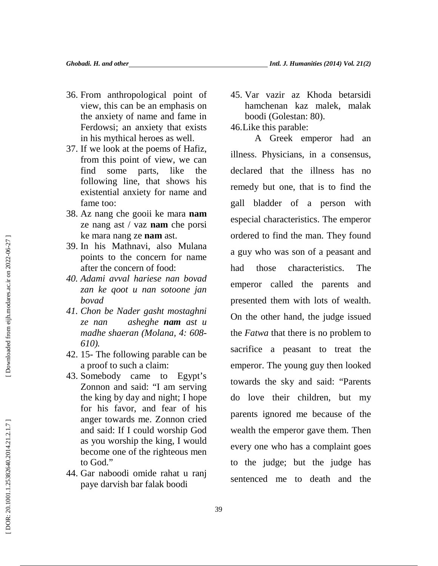- 36. From anthropological point of view, this can be an emphasis on the anxiety of name and fame in Ferdowsi; an anxiety that exists in his mythical heroes as well.
- 37. If we look at the poems of Hafiz, from this point of view, we can find some parts, like the following line, that shows his existential anxiety for name and fame too:
- 38. Az nang che gooii ke mara **nam** ze nang ast / vaz **nam** che porsi ke mara nang ze **nam** ast.
- 39. In his Mathnavi, also Mulana points to the concern for name after the concern of food:
- *40. Adami avval hariese nan bovad zan ke qoot u nan sotoone jan bovad*
- *41. Chon be Nader gasht mostaghni ze nan asheghe nam ast u madhe shaeran (Molana, 4: 608- 610).*
- 42. 15- The following parable can be a proof to such a claim:
- 43. Somebody came to Egypt's Zonnon and said: "I am serving the king by day and night; I hope for his favor, and fear of his anger towards me. Zonnon cried and said: If I could worship God as you worship the king, I would become one of the righteous men to God."
- 44. Gar naboodi omide rahat u ranj paye darvish bar falak boodi

45. Var vazir az Khoda betarsidi hamchenan kaz malek, malak boodi (Golestan: 80).

46.Like this parable:

A Greek emperor had an illness. Physicians, in a consensus, declared that the illness has no remedy but one, that is to find the gall bladder of a person with especial characteristics. The emperor ordered to find the man. They found a guy who was son of a peasant and had those characteristics. The emperor called the parents and presented them with lots of wealth. On the other hand, the judge issued the *Fatwa* that there is no problem to sacrifice a peasant to treat the emperor. The young guy then looked towards the sky and said: "Parents do love their children, but my parents ignored me because of the wealth the emperor gave them. Then every one who has a complaint goes to the judge; but the judge has sentenced me to death and the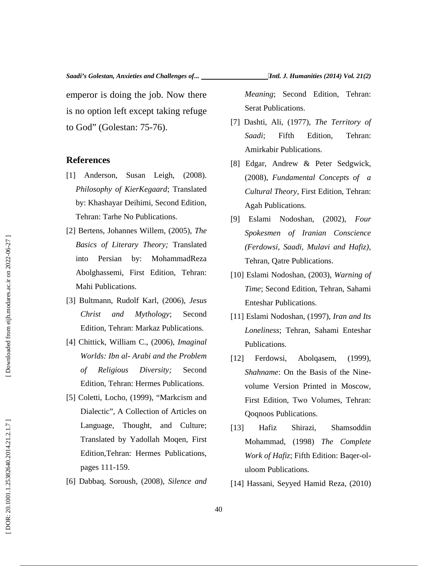*Saadi's Golestan, Anxieties and Challenges of... Intl. J. Humanities (2014) Vol. 21(2)*

emperor is doing the job. Now there is no option left except taking refuge to God" (Golestan: 75-76).

### **References**

- [1] Anderson, Susan Leigh, (2008). *Philosophy of KierKegaard*; Translated by: Khashayar Deihimi, Second Edition, Tehran: Tarhe No Publications.
- [2] Bertens, Johannes Willem, (2005), *The Basics of Literary Theory;* Translated into Persian by: MohammadReza Abolghassemi, First Edition, Tehran: Mahi Publications.
- [3] Bultmann, Rudolf Karl, (2006), *Jesus Christ and Mythology*; Second Edition, Tehran: Markaz Publications.
- [4] Chittick, William C., (2006), *Imaginal Worlds: Ibn al- Arabi and the Problem of Religious Diversity;* Second Edition, Tehran: Hermes Publications.
- [5] Coletti, Locho, (1999), "Markcism and Dialectic", A Collection of Articles on Language, Thought, and Culture; Translated by Yadollah Moqen, First Edition,Tehran: Hermes Publications, pages 111-159. *Basics of Literary Theory*: Translated (*Fordowsi, Saadi, Multavi and Haftis*),<br>
into Persiam by: MohummadReza Tehran, Qate Publications.<br>
Aholghassemi, First Edition, Tehran: [10] Eslami Nodoshan, (2003), Warning of<br>
Mah
	- [6] Dabbaq, Soroush, (2008), *Silence and*

*Meaning*; Second Edition, Tehran: Serat Publications.

- [7] Dashti, Ali, (1977), *The Territory of Saadi*; Fifth Edition, Tehran: Amirkabir Publications.
- [8] Edgar, Andrew & Peter Sedgwick, (2008), *Fundamental Concepts of a Cultural Theory*, First Edition, Tehran: Agah Publications.
- [9] Eslami Nodoshan, (2002), *Four Spokesmen of Iranian Conscience (Ferdowsi, Saadi, Mulavi and Hafiz)*, Tehran, Qatre Publications.
- [10] Eslami Nodoshan, (2003), *Warning of Time*; Second Edition, Tehran, Sahami Enteshar Publications.
- [11] Eslami Nodoshan, (1997), *Iran and Its Loneliness*; Tehran, Sahami Enteshar Publications.
- Abolqasem, (1999), *Shahname*: On the Basis of the Nine volume Version Printed in Moscow, First Edition, Two Volumes, Tehran: Qoqnoos Publications.
- [13] Hafiz Shirazi, Shamsoddin Mohammad, (1998) *The Complete Work of Hafiz*; Fifth Edition: Baqer-ol uloom Publications.
-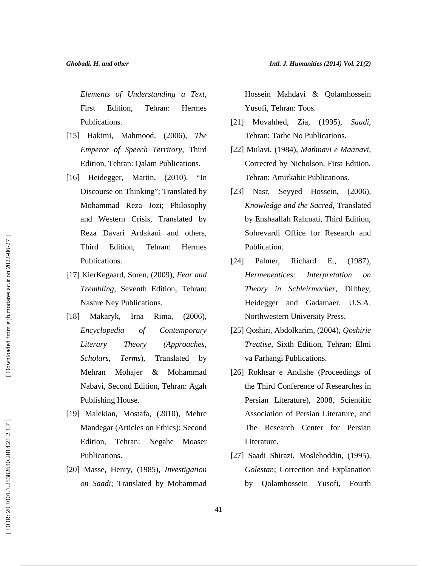*Elements of Understanding a Text*, First Edition, Tehran: Hermes Publications.

- [15] Hakimi, Mahmood, (2006), *The Emperor of Speech Territory*, Third Edition, Tehran: Qalam Publications.
- [16] Heidegger, Martin, (2010), "In Discourse on Thinking"; Translated by Mohammad Reza Jozi; Philosophy and Western Crisis, Translated by Reza Davari Ardakani and others, Third Edition, Tehran: Hermes Publications.
- [17] KierKegaard, Soren, (2009), *Fear and Trembling*, Seventh Edition, Tehran: Nashre Ney Publications.
- [18] Makaryk, Irna Rima, (2006), *Encyclopedia of Contemporary Literary Theory (Approaches, Scholars, Terms*), Translated by Mehran Mohajer & Mohammad Nabavi, Second Edition, Tehran: Agah Publishing House.
- [19] Malekian, Mostafa, (2010), Mehre Mandegar (Articles on Ethics); Second Edition, Tehran: Negahe Moaser Publications.
- [20] Masse, Henry, (1985), *Investigation on Saadi*; Translated by Mohammad

Hossein Mahdavi & Qolamhossein Yusofi, Tehran: Toos.

- [21] Movahhed, Zia, (1995), *Saadi*, Tehran: Tarhe No Publications.
- [22] Mulavi, (1984), *Mathnavi e Maanavi*, Corrected by Nicholson, First Edition, Tehran: Amirkabir Publications.
- [23] Nasr, Seyyed Hossein, (2006), *Knowledge and the Sacred*, Translated by Enshaallah Rahmati, Third Edition, Sohrevardi Office for Research and Publication.
- [24] Palmer, Richard E., (1987), *Hermeneatices: Interpretation on Theory in Schleirmacher*, Dilthey, Heidegger and Gadamaer. U.S.A. Northwestern University Press.
- [25] Qoshiri, Abdolkarim, (2004), *Qoshirie Treatise*, Sixth Edition, Tehran: Elmi va Farhangi Publications.
- [26] Rokhsar e Andishe (Proceedings of the Third Conference of Researches in Persian Literature), 2008, Scientific Association of Persian Literature, and The Research Center for Persian Literature.
- [27] Saadi Shirazi, Moslehoddin, (1995), *Golestan*; Correction and Explanation by Qolamhossein Yusofi, Fourth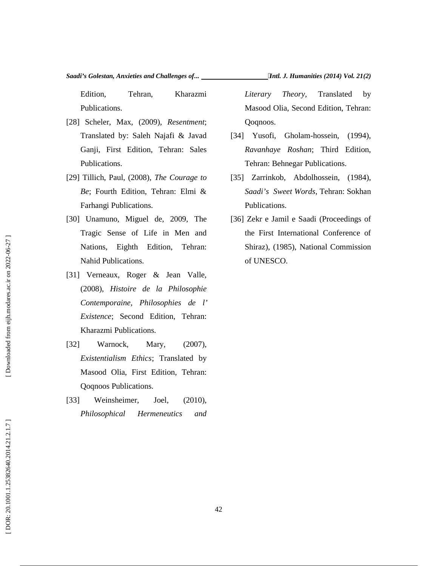Edition, Tehran, Kharazmi Publications.

- [28] Scheler, Max, (2009), *Resentment*; Translated by: Saleh Najafi & Javad Ganji, First Edition, Tehran: Sales Publications.
- [29] Tillich, Paul, (2008), *The Courage to Be*; Fourth Edition, Tehran: Elmi & Farhangi Publications.
- [30] Unamuno, Miguel de, 2009, The Tragic Sense of Life in Men and Nations, Eighth Edition, Tehran: Nahid Publications.
- [31] Verneaux, Roger & Jean Valle, (2008), *Histoire de la Philosophie Contemporaine, Philosophies de l' Existence*; Second Edition, Tehran: Kharazmi Publications.
- [32] Warnock, Mary, (2007), *Existentialism Ethics*; Translated by Masood Olia, First Edition, Tehran: Qoqnoos Publications.
- [33] Weinsheimer, Joel, (2010), *Philosophical Hermeneutics and*

*Literary Theory*, Translated by Masood Olia, Second Edition, Tehran: Qoqnoos.

- Gholam-hossein, (1994), *Ravanhaye Roshan*; Third Edition, Tehran: Behnegar Publications.
- [35] Zarrinkob, Abdolhossein, (1984), *Saadi's Sweet Words*, Tehran: Sokhan Publications.
- [36] Zekr e Jamil e Saadi (Proceedings of the First International Conference of Shiraz), (1985), National Commission of UNESCO.